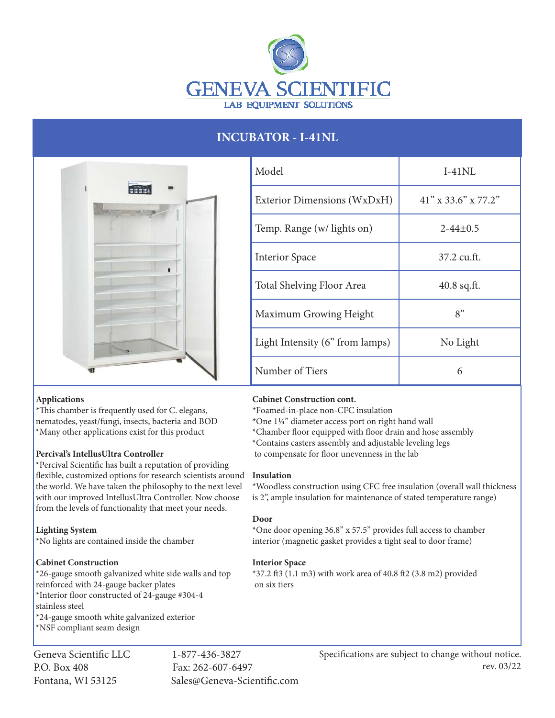

# **INCUBATOR - I-41NL**



| Model                           | $I-41NL$               |
|---------------------------------|------------------------|
| Exterior Dimensions (WxDxH)     | $41''$ x 33.6" x 77.2" |
| Temp. Range (w/ lights on)      | $2 - 44 + 0.5$         |
| <b>Interior Space</b>           | 37.2 cu.ft.            |
| Total Shelving Floor Area       | $40.8$ sq.ft.          |
| Maximum Growing Height          | 8"                     |
| Light Intensity (6" from lamps) | No Light               |
| Number of Tiers                 | 6                      |

# **Applications**

\*This chamber is frequently used for C. elegans, nematodes, yeast/fungi, insects, bacteria and BOD \*Many other applications exist for this product

# **Percival's IntellusUltra Controller**

\*Percival Scientific has built a reputation of providing flexible, customized options for research scientists around the world. We have taken the philosophy to the next level with our improved IntellusUltra Controller. Now choose from the levels of functionality that meet your needs.

# **Lighting System**

\*No lights are contained inside the chamber

# **Cabinet Construction**

\*26-gauge smooth galvanized white side walls and top reinforced with 24-gauge backer plates \*Interior floor constructed of 24-gauge #304-4 stainless steel \*24-gauge smooth white galvanized exterior \*NSF compliant seam design

Geneva Scientific LLC 1-877-436-3827 P.O. Box 408 Fax: 262-607-6497

Fontana, WI 53125 Sales@Geneva-Scientific.com

**Cabinet Construction cont.**

\*Foamed-in-place non-CFC insulation

**\***One 1¼" diameter access port on right hand wall

\*Chamber floor equipped with floor drain and hose assembly

\*Contains casters assembly and adjustable leveling legs

to compensate for floor unevenness in the lab

## **Insulation**

\*Woodless construction using CFC free insulation (overall wall thickness is 2", ample insulation for maintenance of stated temperature range)

# **Door**

\*One door opening 36.8" x 57.5" provides full access to chamber interior (magnetic gasket provides a tight seal to door frame)

## **Interior Space**

\*37.2 ft3 (1.1 m3) with work area of 40.8 ft2 (3.8 m2) provided on six tiers